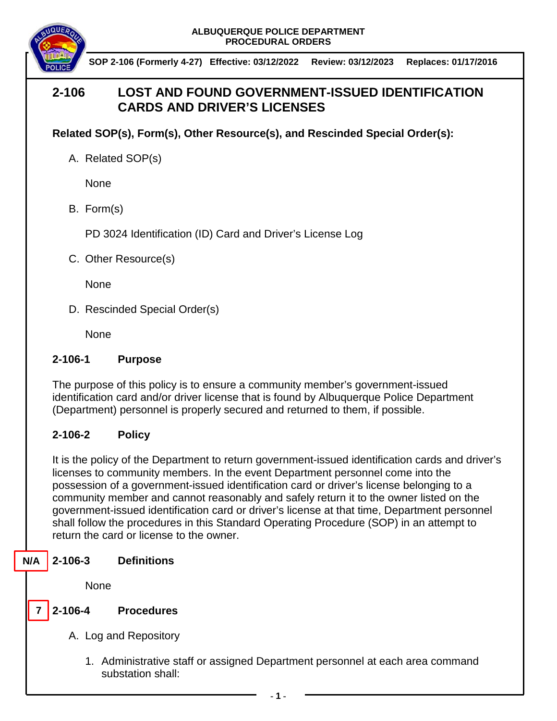**ALBUQUERQUE POLICE DEPARTMENT PROCEDURAL ORDERS**



 **SOP 2-106 (Formerly 4-27) Effective: 03/12/2022 Review: 03/12/2023 Replaces: 01/17/2016**

# **2-106 LOST AND FOUND GOVERNMENT-ISSUED IDENTIFICATION CARDS AND DRIVER'S LICENSES**

**Related SOP(s), Form(s), Other Resource(s), and Rescinded Special Order(s):**

A. Related SOP(s)

None

B. Form(s)

PD 3024 Identification (ID) Card and Driver's License Log

C. Other Resource(s)

None

D. Rescinded Special Order(s)

**None** 

### **2-106-1 Purpose**

The purpose of this policy is to ensure a community member's government-issued identification card and/or driver license that is found by Albuquerque Police Department (Department) personnel is properly secured and returned to them, if possible.

## **2-106-2 Policy**

It is the policy of the Department to return government-issued identification cards and driver's licenses to community members. In the event Department personnel come into the possession of a government-issued identification card or driver's license belonging to a community member and cannot reasonably and safely return it to the owner listed on the government-issued identification card or driver's license at that time, Department personnel shall follow the procedures in this Standard Operating Procedure (SOP) in an attempt to return the card or license to the owner.

#### **2-106-3 Definitions N/A**

None

#### **2-106-4 Procedures 7**

- A. Log and Repository
	- 1. Administrative staff or assigned Department personnel at each area command substation shall: